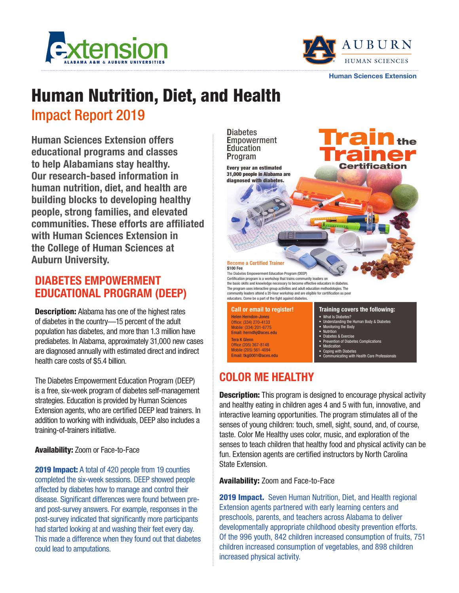



Human Sciences Extension

# Human Nutrition, Diet, and Health

# Impact Report 2019

Human Sciences Extension offers educational programs and classes to help Alabamians stay healthy. Our research-based information in human nutrition, diet, and health are building blocks to developing healthy people, strong families, and elevated communities. These efforts are affiliated with Human Sciences Extension in the College of Human Sciences at Auburn University.

### DIABETES EMPOWERMENT EDUCATIONAL PROGRAM (DEEP)

**Description:** Alabama has one of the highest rates of diabetes in the country—15 percent of the adult population has diabetes, and more than 1.3 million have prediabetes. In Alabama, approximately 31,000 new cases are diagnosed annually with estimated direct and indirect health care costs of \$5.4 billion.

The Diabetes Empowerment Education Program (DEEP) is a free, six-week program of diabetes self-management strategies. Education is provided by Human Sciences Extension agents, who are certified DEEP lead trainers. In addition to working with individuals, DEEP also includes a training-of-trainers initiative.

### Availability: Zoom or Face-to-Face

2019 Impact: A total of 420 people from 19 counties completed the six-week sessions. DEEP showed people affected by diabetes how to manage and control their disease. Significant differences were found between preand post-survey answers. For example, responses in the post-survey indicated that significantly more participants had started looking at and washing their feet every day. This made a difference when they found out that diabetes could lead to amputations.



### Office (205) 367-8148 Mobile (205) 561-4094 Email: tkg0001@aces.edu

### • Medication • Coping with Diabetes

• Communicating with Health Care Professionals

# **COLOR ME HEALTHY**

**Description:** This program is designed to encourage physical activity and healthy eating in children ages 4 and 5 with fun, innovative, and interactive learning opportunities. The program stimulates all of the senses of young children: touch, smell, sight, sound, and, of course, taste. Color Me Healthy uses color, music, and exploration of the senses to teach children that healthy food and physical activity can be fun. Extension agents are certified instructors by North Carolina State Extension.

Availability: Zoom and Face-to-Face

**2019 Impact.** Seven Human Nutrition, Diet, and Health regional Extension agents partnered with early learning centers and preschools, parents, and teachers across Alabama to deliver developmentally appropriate childhood obesity prevention efforts. Of the 996 youth, 842 children increased consumption of fruits, 751 children increased consumption of vegetables, and 898 children increased physical activity.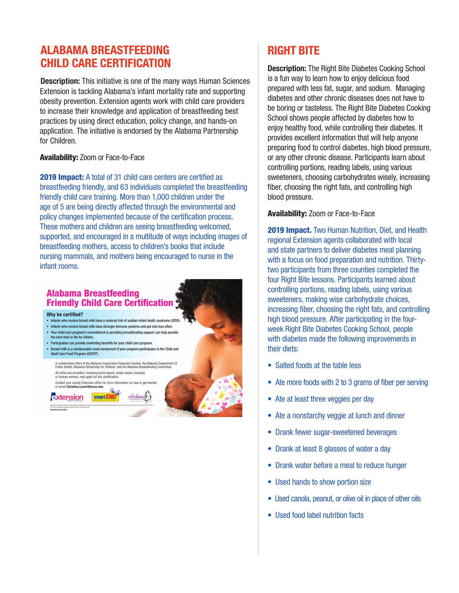### ALABAMA BREASTFEEDING CHILD CARE CERTIFICATION

**Description:** This initiative is one of the many ways Human Sciences Extension is tackling Alabama's infant mortality rate and supporting obesity prevention. Extension agents work with child care providers to increase their knowledge and application of breastfeeding best practices by using direct education, policy change, and hands-on application. The initiative is endorsed by the Alabama Partnership for Children.

#### Availability: Zoom or Face-to-Face

2019 Impact: A total of 31 child care centers are certified as breastfeeding friendly, and 63 individuals completed the breastfeeding friendly child care training. More than 1,000 children under the age of 5 are being directly affected through the environmental and policy changes implemented because of the certification process. These mothers and children are seeing breastfeeding welcomed, supported, and encouraged in a multitude of ways including images of breastfeeding mothers, access to children's books that include nursing mammals, and mothers being encouraged to nurse in the infant rooms.

### Alabama Breastfeeding Friendly Child Care Certification

Why be certified?

- Infants who receive breast milk have a reduced risk of sudden infant death syndrome (SIDS).
- Infants who receive breast milk have stronger immune systems and get sick less often.
- Your child care program's commitment to providing breastfeeding support can help provide the best start in life for infants.
- Participation can provide marketing benefits for your child care program.
- Breast milk is a reimbursable meal component if your program participates in the Child and Adult Care Food Program (CACFP).
- A collaborative effort of the Alabama Cooperative Extension System, the Alabama Department of Public Health, Alabama Partnership for Children, and the Alabama Breastfeeding Committee.
	- All child care providers, including home-based, center-based, licensed, or license exempt, may apply for this certification.

The Alabama Cooperative Extension System (Alabama A&M University and Auburn University) is an equal opportunity educator and employer. Everyone is welcome! New January 2019, FCS-2306

Contact your county Extension office for more information on how to get started or email Christina.Levert@aces.edu.

Extension smart START

© 2019 by the Alabama Cooperative Extension System. All rights reserved. www.aces.edu

# RIGHT BITE

**Description:** The Right Bite Diabetes Cooking School is a fun way to learn how to enjoy delicious food prepared with less fat, sugar, and sodium. Managing diabetes and other chronic diseases does not have to be boring or tasteless. The Right Bite Diabetes Cooking School shows people affected by diabetes how to enjoy healthy food, while controlling their diabetes. It provides excellent information that will help anyone preparing food to control diabetes, high blood pressure, or any other chronic disease. Participants learn about controlling portions, reading labels, using various sweeteners, choosing carbohydrates wisely, increasing fiber, choosing the right fats, and controlling high blood pressure.

#### Availability: Zoom or Face-to-Face

2019 Impact. Two Human Nutrition, Diet, and Health regional Extension agents collaborated with local and state partners to deliver diabetes meal planning with a focus on food preparation and nutrition. Thirtytwo participants from three counties completed the four Right Bite lessons. Participants learned about controlling portions, reading labels, using various sweeteners, making wise carbohydrate choices, increasing fiber, choosing the right fats, and controlling high blood pressure. After participating in the fourweek Right Bite Diabetes Cooking School, people with diabetes made the following improvements in their diets:

- Salted foods at the table less
- Ate more foods with 2 to 3 grams of fiber per serving
- Ate at least three veggies per day
- Ate a nonstarchy veggie at lunch and dinner
- Drank fewer sugar-sweetened beverages
- Drank at least 8 glasses of water a day
- Drank water before a meal to reduce hunger
- Used hands to show portion size
- Used canola, peanut, or olive oil in place of other oils
- Used food label nutrition facts